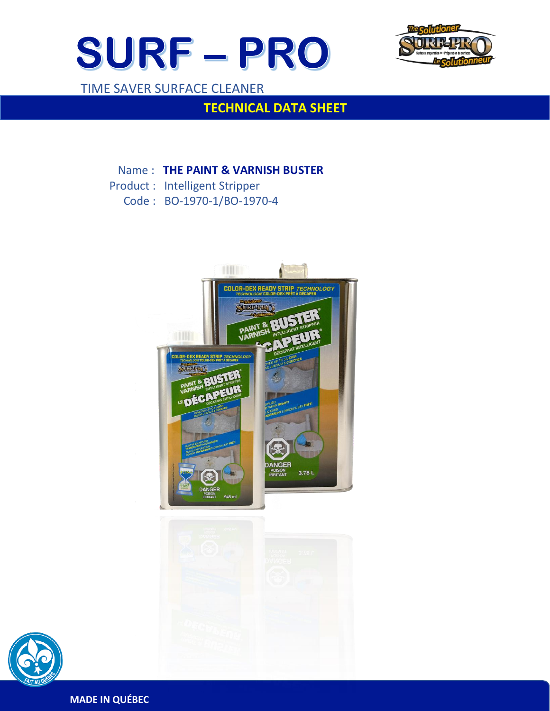



TIME SAVER SURFACE CLEANER

 $\overline{a}$ 

## **TECHNICAL DATA SHEET**

### Name : **THE PAINT & VARNISH BUSTER**

- Product : Intelligent Stripper
	- Code : BO-1970-1/BO-1970-4